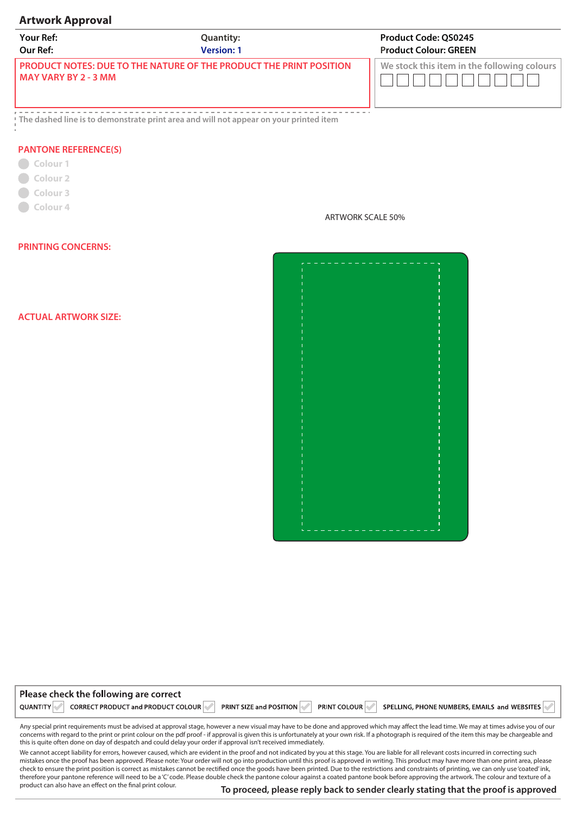## **Artwork Approval**

| <b>Your Ref:</b>                                                                                  | <b>Quantity:</b>  | <b>Product Code: QS0245</b>                 |
|---------------------------------------------------------------------------------------------------|-------------------|---------------------------------------------|
| Our Ref:                                                                                          | <b>Version: 1</b> | <b>Product Colour: GREEN</b>                |
| <b>PRODUCT NOTES: DUE TO THE NATURE OF THE PRODUCT THE PRINT POSITION</b><br>MAY VARY BY 2 - 3 MM |                   | We stock this item in the following colours |

**The dashed line is to demonstrate print area and will not appear on your printed item**

## **PANTONE REFERENCE(S)**

- Colour<sub>1</sub> **Colour 2 Colour 3**
- **Colour 4**

ARTWORK SCALE 50%

## **PRINTING CONCERNS:**

**ACTUAL ARTWORK SIZE:** 



| Please check the following are correct |  |  |  |                                                                                                                               |  |
|----------------------------------------|--|--|--|-------------------------------------------------------------------------------------------------------------------------------|--|
|                                        |  |  |  | QUANTITY CORRECT PRODUCT and PRODUCT COLOUR PRINT SIZE and POSITION PRINT COLOUR SPELLING, PHONE NUMBERS, EMAILS and WEBSITES |  |
|                                        |  |  |  |                                                                                                                               |  |

Any special print requirements must be advised at approval stage, however a new visual may have to be done and approved which may affect the lead time. We may at times advise you of our concerns with regard to the print or print colour on the pdf proof - if approval is given this is unfortunately at your own risk. If a photograph is required of the item this may be chargeable and this is quite often done on day of despatch and could delay your order if approval isn't received immediately.

We cannot accept liability for errors, however caused, which are evident in the proof and not indicated by you at this stage. You are liable for all relevant costs incurred in correcting such mistakes once the proof has been approved. Please note: Your order will not go into production until this proof is approved in writing. This product may have more than one print area, please check to ensure the print position is correct as mistakes cannot be rectified once the goods have been printed. Due to the restrictions and constraints of printing, we can only use 'coated' ink, therefore your pantone reference will need to be a 'C' code. Please double check the pantone colour against a coated pantone book before approving the artwork. The colour and texture of a product can also have an effect on the final print colour.